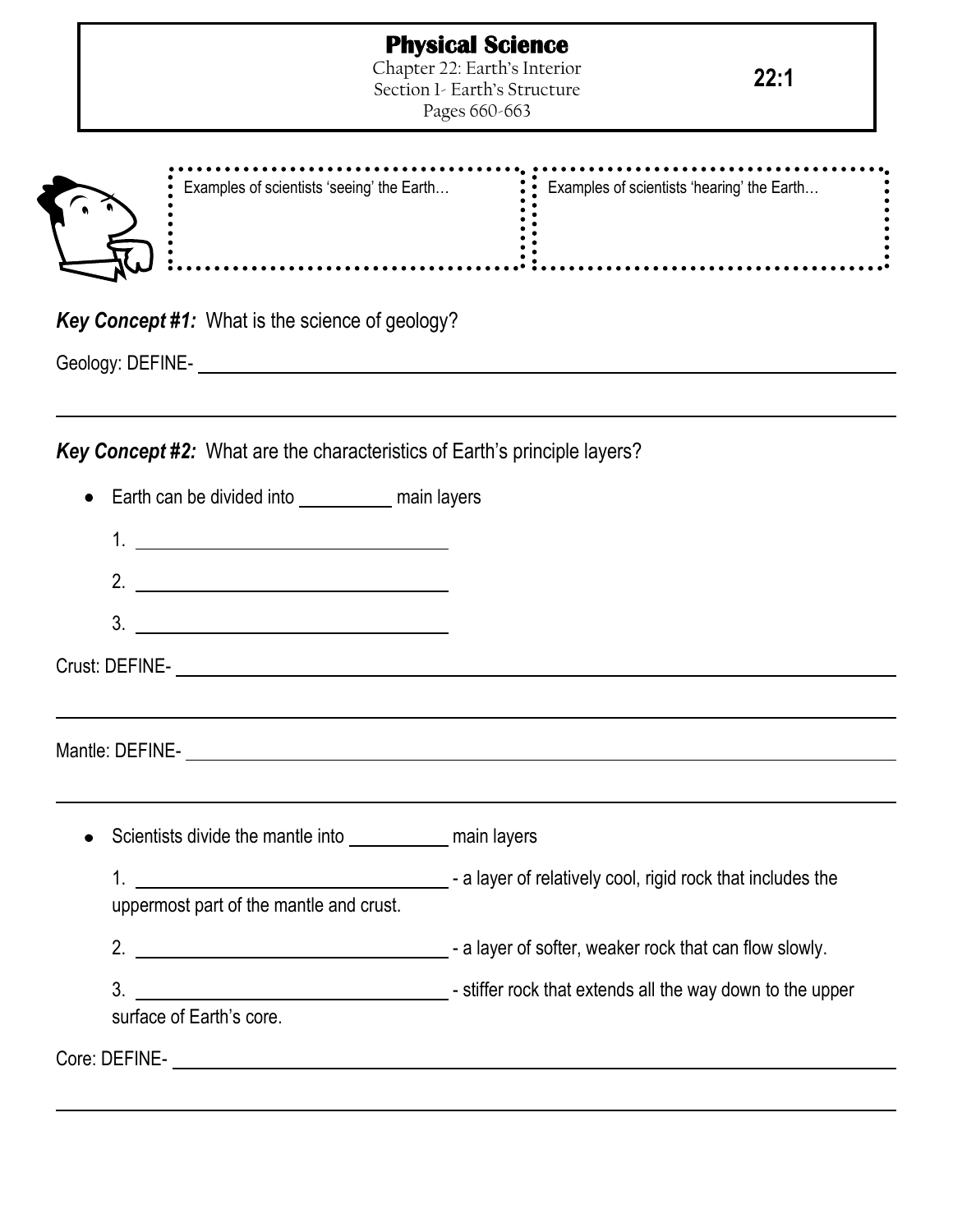**.**<br>........

| F.<br>Ξ.<br>۷ |
|---------------|

| Examples of scientists 'seeing' the Earth $\ddot{\hspace{1cm}}$ Examples of scientists 'hearing' the Earth |  |
|------------------------------------------------------------------------------------------------------------|--|
|                                                                                                            |  |
|                                                                                                            |  |

*Key Concept #1:* What is the science of geology?

Geology: DEFINE-

*Key Concept #2:* What are the characteristics of Earth's principle layers?

| Earth can be divided into _______________ main layers                                                                                                                                                                                                                                                                                                                                                                                                                                                            |  |
|------------------------------------------------------------------------------------------------------------------------------------------------------------------------------------------------------------------------------------------------------------------------------------------------------------------------------------------------------------------------------------------------------------------------------------------------------------------------------------------------------------------|--|
|                                                                                                                                                                                                                                                                                                                                                                                                                                                                                                                  |  |
| 2. $\qquad \qquad$                                                                                                                                                                                                                                                                                                                                                                                                                                                                                               |  |
| $\begin{array}{c}\n3. \quad \textcolor{blue}{\textbf{2.2}}\quad \textcolor{blue}{\textbf{2.3}}\quad \textcolor{blue}{\textbf{2.4}}\quad \textcolor{blue}{\textbf{2.5}}\quad \textcolor{blue}{\textbf{2.6}}\quad \textcolor{blue}{\textbf{2.6}}\quad \textcolor{blue}{\textbf{2.6}}\quad \textcolor{blue}{\textbf{2.6}}\quad \textcolor{blue}{\textbf{2.6}}\quad \textcolor{blue}{\textbf{2.6}}\quad \textcolor{blue}{\textbf{2.6}}\quad \textcolor{blue}{\textbf{2.6}}\quad \textcolor{blue}{\textbf{2.6}}\quad$ |  |
|                                                                                                                                                                                                                                                                                                                                                                                                                                                                                                                  |  |
| ,我们也不会有什么。""我们的人,我们也不会有什么?""我们的人,我们也不会有什么?""我们的人,我们也不会有什么?""我们的人,我们也不会有什么?""我们的人                                                                                                                                                                                                                                                                                                                                                                                                                                 |  |
|                                                                                                                                                                                                                                                                                                                                                                                                                                                                                                                  |  |
|                                                                                                                                                                                                                                                                                                                                                                                                                                                                                                                  |  |
| Scientists divide the mantle into ______________ main layers                                                                                                                                                                                                                                                                                                                                                                                                                                                     |  |
|                                                                                                                                                                                                                                                                                                                                                                                                                                                                                                                  |  |
| uppermost part of the mantle and crust.                                                                                                                                                                                                                                                                                                                                                                                                                                                                          |  |
|                                                                                                                                                                                                                                                                                                                                                                                                                                                                                                                  |  |
|                                                                                                                                                                                                                                                                                                                                                                                                                                                                                                                  |  |
|                                                                                                                                                                                                                                                                                                                                                                                                                                                                                                                  |  |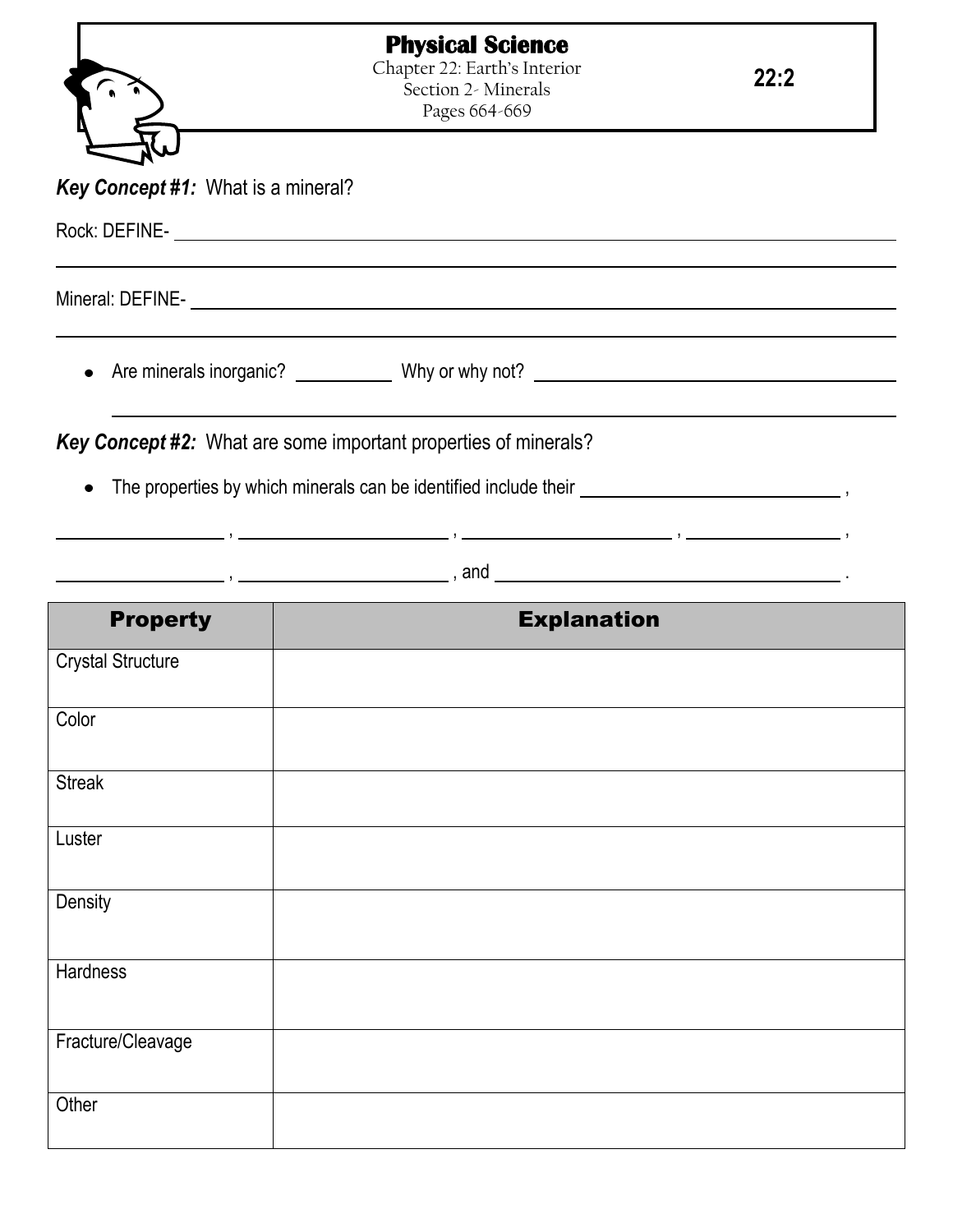|                                    | <b>Physical Science</b>                                                           |      |
|------------------------------------|-----------------------------------------------------------------------------------|------|
|                                    | Chapter 22: Earth's Interior<br>Section 2- Minerals<br>Pages 664-669              | 22:2 |
| Key Concept #1: What is a mineral? |                                                                                   |      |
|                                    |                                                                                   |      |
|                                    |                                                                                   |      |
|                                    | Are minerals inorganic? ______________ Why or why not? __________________________ |      |
|                                    | Key Concept #2: What are some important properties of minerals?                   |      |
|                                    |                                                                                   |      |
|                                    |                                                                                   |      |
| <b>Property</b>                    | <b>Explanation</b>                                                                |      |
| <b>Crystal Structure</b>           |                                                                                   |      |
| Color                              |                                                                                   |      |
| <b>Streak</b>                      |                                                                                   |      |
| Luster                             |                                                                                   |      |
| Density                            |                                                                                   |      |
| Hardness                           |                                                                                   |      |
| Fracture/Cleavage                  |                                                                                   |      |

**Other**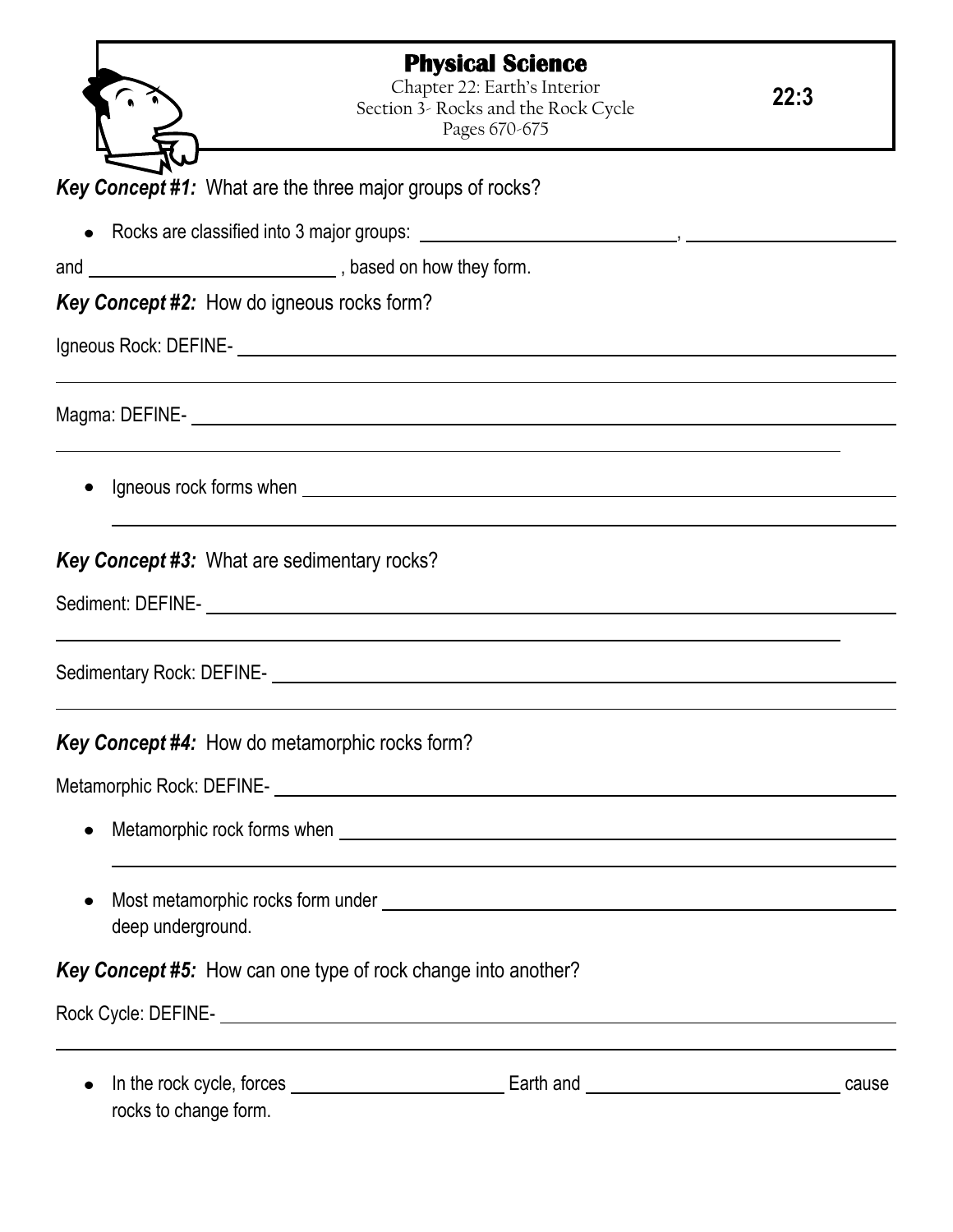|                                                                  | <b>Physical Science</b><br>Chapter 22: Earth's Interior<br>Section 3- Rocks and the Rock Cycle<br>Pages 670-675 | 22:3  |
|------------------------------------------------------------------|-----------------------------------------------------------------------------------------------------------------|-------|
| <b>Key Concept #1:</b> What are the three major groups of rocks? |                                                                                                                 |       |
|                                                                  |                                                                                                                 |       |
|                                                                  |                                                                                                                 |       |
|                                                                  |                                                                                                                 |       |
| <b>Key Concept #2:</b> How do igneous rocks form?                |                                                                                                                 |       |
|                                                                  |                                                                                                                 |       |
|                                                                  |                                                                                                                 |       |
|                                                                  |                                                                                                                 |       |
| <b>Key Concept #3: What are sedimentary rocks?</b>               |                                                                                                                 |       |
|                                                                  |                                                                                                                 |       |
|                                                                  | Sedimentary Rock: DEFINE-<br><u> Sedimentary Rock: DEFINE-</u>                                                  |       |
| <b>Key Concept #4:</b> How do metamorphic rocks form?            |                                                                                                                 |       |
|                                                                  |                                                                                                                 |       |
| $\bullet$                                                        |                                                                                                                 |       |
| deep underground.                                                |                                                                                                                 |       |
|                                                                  | <b>Key Concept #5:</b> How can one type of rock change into another?                                            |       |
|                                                                  |                                                                                                                 |       |
| $\bullet$                                                        |                                                                                                                 | cause |

rocks to change form.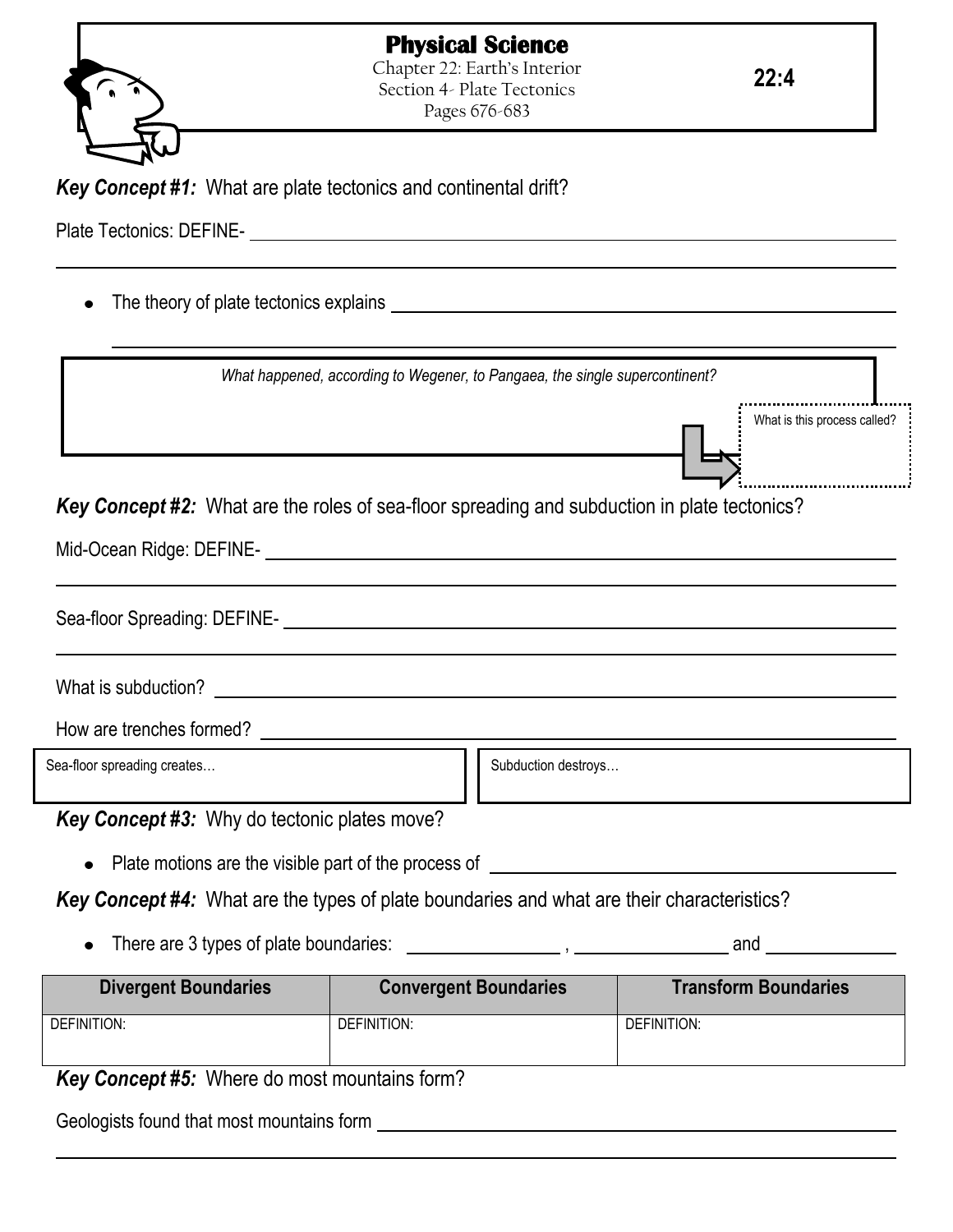



Chapter 22: Earth's Interior Section 4- Plate Tectonics Pages 676-683

**22:4**

*Key Concept #1:* What are plate tectonics and continental drift?

Plate Tectonics: DEFINE-

The theory of plate tectonics explains  $\bullet$ 

|                                              | What happened, according to Wegener, to Pangaea, the single supercontinent?                       |                              |
|----------------------------------------------|---------------------------------------------------------------------------------------------------|------------------------------|
|                                              |                                                                                                   | What is this process called? |
|                                              | Key Concept #2: What are the roles of sea-floor spreading and subduction in plate tectonics?      |                              |
|                                              |                                                                                                   |                              |
|                                              |                                                                                                   |                              |
|                                              | Sea-floor Spreading: DEFINE-<br><u> Sea-floor Spreading: DEFINE-</u>                              |                              |
|                                              |                                                                                                   |                              |
|                                              |                                                                                                   |                              |
| Sea-floor spreading creates                  | Subduction destroys                                                                               |                              |
| Key Concept #3: Why do tectonic plates move? |                                                                                                   |                              |
|                                              | Plate motions are the visible part of the process of ________                                     |                              |
|                                              | <b>Key Concept #4:</b> What are the types of plate boundaries and what are their characteristics? |                              |
|                                              |                                                                                                   |                              |
| <b>Divergent Boundaries</b>                  | <b>Convergent Boundaries</b>                                                                      | <b>Transform Boundaries</b>  |
| DEFINITION:                                  | <b>DEFINITION:</b>                                                                                | DEFINITION:                  |

*Key Concept #5:* Where do most mountains form?

Geologists found that most mountains form **CONTING CONTINUES**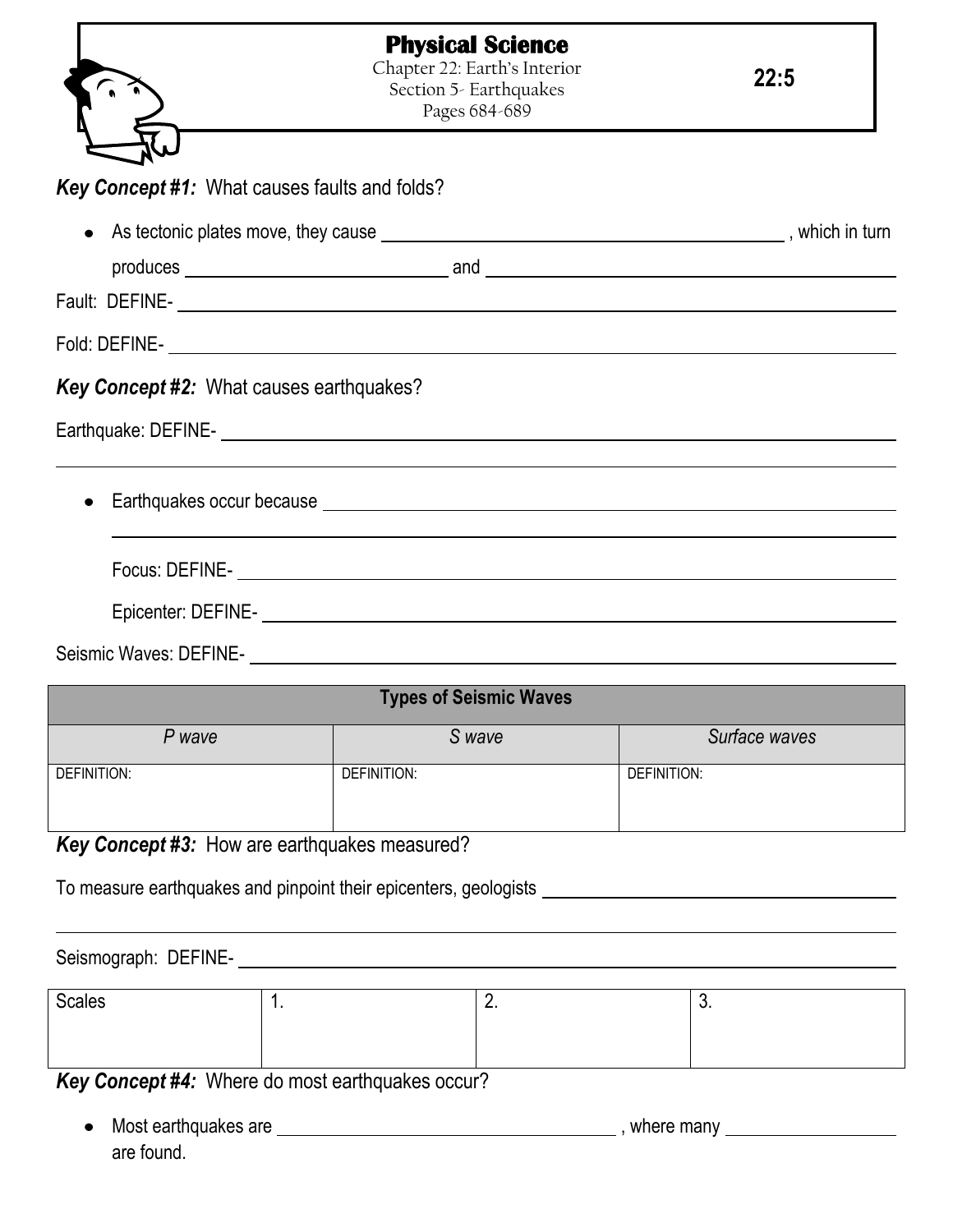|                                                                                                                                                                                                                                        |             | <b>Physical Science</b><br>Chapter 22: Earth's Interior<br>Section 5- Earthquakes<br>Pages 684-689 | 22:5                                                                                                                                                                                                                                 |
|----------------------------------------------------------------------------------------------------------------------------------------------------------------------------------------------------------------------------------------|-------------|----------------------------------------------------------------------------------------------------|--------------------------------------------------------------------------------------------------------------------------------------------------------------------------------------------------------------------------------------|
| Key Concept #1: What causes faults and folds?                                                                                                                                                                                          |             |                                                                                                    |                                                                                                                                                                                                                                      |
| $\bullet$                                                                                                                                                                                                                              |             |                                                                                                    |                                                                                                                                                                                                                                      |
|                                                                                                                                                                                                                                        |             |                                                                                                    |                                                                                                                                                                                                                                      |
|                                                                                                                                                                                                                                        |             |                                                                                                    |                                                                                                                                                                                                                                      |
|                                                                                                                                                                                                                                        |             |                                                                                                    |                                                                                                                                                                                                                                      |
| <b>Key Concept #2: What causes earthquakes?</b>                                                                                                                                                                                        |             |                                                                                                    |                                                                                                                                                                                                                                      |
|                                                                                                                                                                                                                                        |             |                                                                                                    | Focus: DEFINE- <b>And All and All and All and All and All and All and All and All and All and All and All and All and All and All and All and All and All and All and All and All and All and All and All and All and All and Al</b> |
|                                                                                                                                                                                                                                        |             |                                                                                                    |                                                                                                                                                                                                                                      |
| Seismic Waves: DEFINE-<br><u> Contract Contract Contract Contract Contract Contract Contract Contract Contract Contract Contract Contract Contract Contract Contract Contract Contract Contract Contract Contract Contract Contrac</u> |             |                                                                                                    |                                                                                                                                                                                                                                      |
|                                                                                                                                                                                                                                        |             | <b>Types of Seismic Waves</b>                                                                      |                                                                                                                                                                                                                                      |
| P wave                                                                                                                                                                                                                                 |             | S wave                                                                                             | Surface waves                                                                                                                                                                                                                        |
| <b>DEFINITION:</b>                                                                                                                                                                                                                     | DEFINITION: |                                                                                                    | DEFINITION:                                                                                                                                                                                                                          |
| Key Concept #3: How are earthquakes measured?                                                                                                                                                                                          |             |                                                                                                    |                                                                                                                                                                                                                                      |
| To measure earthquakes and pinpoint their epicenters, geologists _                                                                                                                                                                     |             |                                                                                                    |                                                                                                                                                                                                                                      |
| Seismograph: DEFINE-                                                                                                                                                                                                                   |             |                                                                                                    |                                                                                                                                                                                                                                      |
| <b>Scales</b>                                                                                                                                                                                                                          | 1.          | 2.                                                                                                 | 3.                                                                                                                                                                                                                                   |

*Key Concept #4:* Where do most earthquakes occur?

Most earthquakes are , where many  $\bullet$ are found.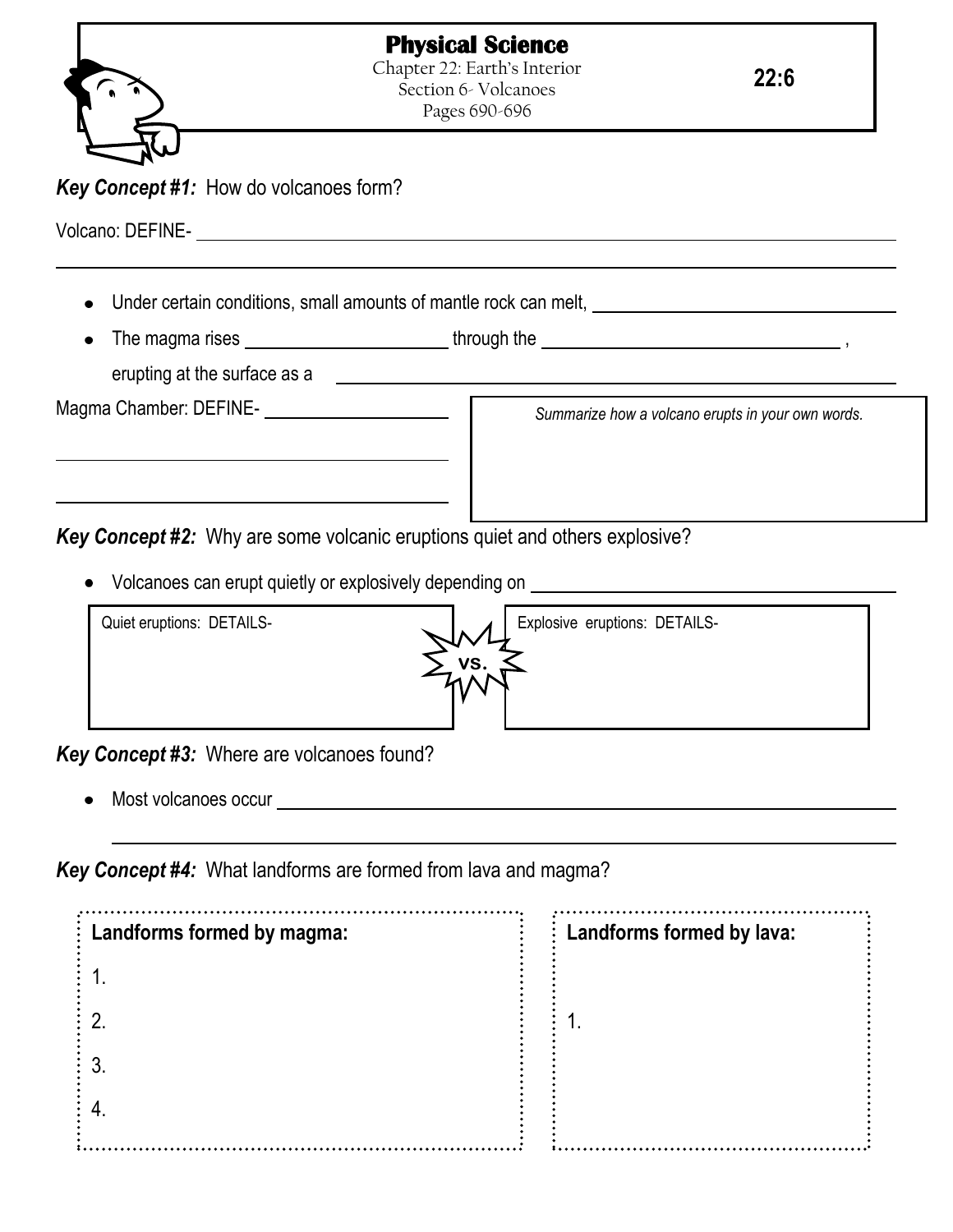

Pages 690-696

**22:6**

## *Key Concept #1:* How do volcanoes form?

Volcano: DEFINE-

- Under certain conditions, small amounts of mantle rock can melt,
- The magma rises  $\frac{1}{1}$ , through the  $\frac{1}{1}$  methods of  $\frac{1}{1}$ , through the  $\frac{1}{1}$ ,  $\frac{1}{1}$ ,  $\frac{1}{1}$ ,  $\frac{1}{1}$ ,  $\frac{1}{1}$ ,  $\frac{1}{1}$ ,  $\frac{1}{1}$ ,  $\frac{1}{1}$ ,  $\frac{1}{1}$ ,  $\frac{1}{1}$ ,  $\frac{1}{1}$ ,  $\frac{1}{1}$ ,  $\frac{$ erupting at the surface as a

Magma Chamber: DEFINE-

*Summarize how a volcano erupts in your own words.*

*Key Concept #2:* Why are some volcanic eruptions quiet and others explosive?

Volcanoes can erupt quietly or explosively depending on



*Key Concept #3:* Where are volcanoes found?

Most volcanoes occur

*Key Concept #4:* What landforms are formed from lava and magma?

| : Landforms formed by magma: | Landforms formed by lava: |  |
|------------------------------|---------------------------|--|
|                              |                           |  |
|                              |                           |  |
|                              |                           |  |
|                              |                           |  |
|                              |                           |  |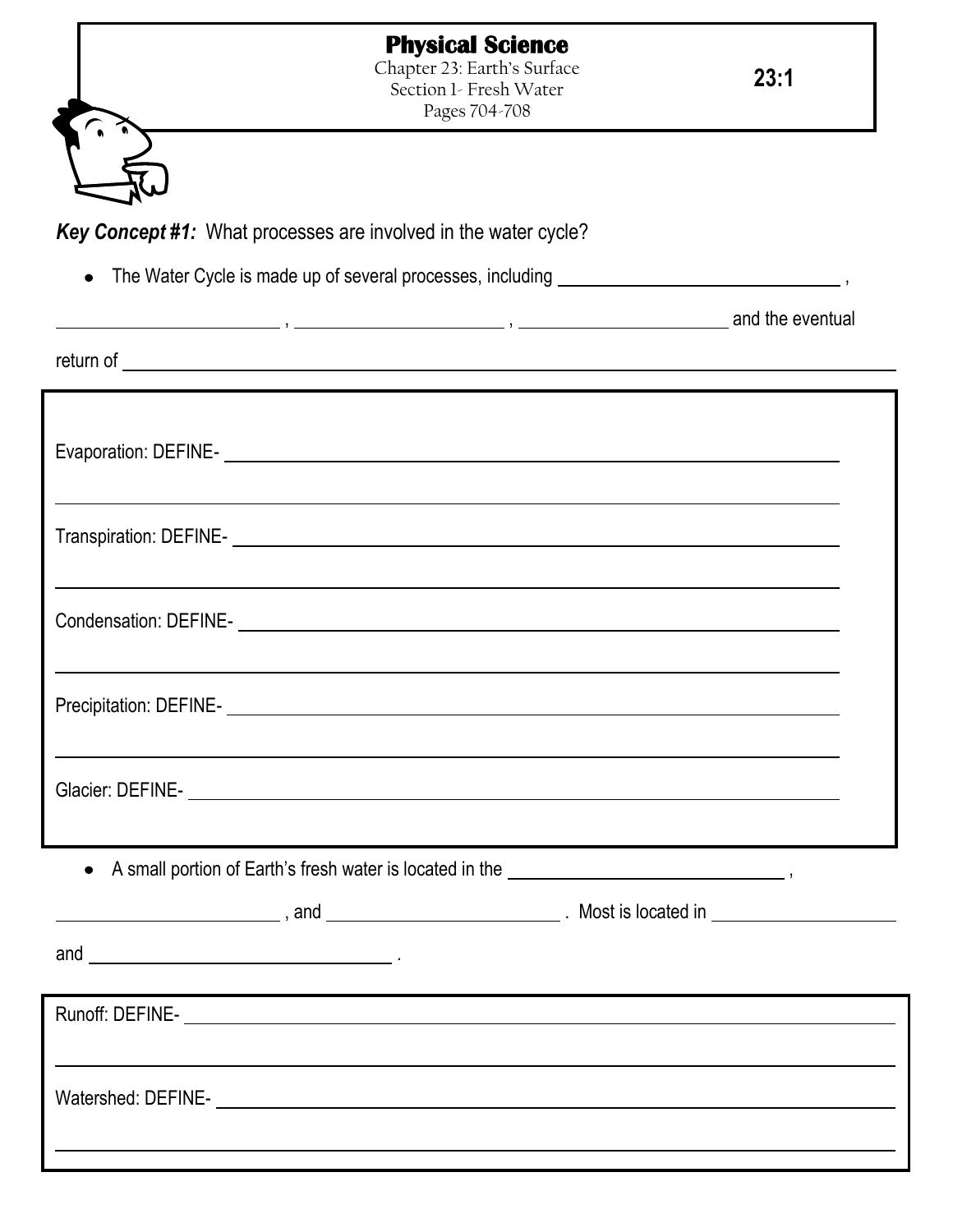|                                                                 | <b>Physical Science</b><br>Chapter 23: Earth's Surface<br>Section 1- Fresh Water<br>Pages 704-708                                                                                                                                    | 23:1 |
|-----------------------------------------------------------------|--------------------------------------------------------------------------------------------------------------------------------------------------------------------------------------------------------------------------------------|------|
|                                                                 |                                                                                                                                                                                                                                      |      |
| Key Concept #1: What processes are involved in the water cycle? |                                                                                                                                                                                                                                      |      |
| $\bullet$                                                       |                                                                                                                                                                                                                                      |      |
|                                                                 | $\frac{1}{2}$ and the eventual $\frac{1}{2}$ , $\frac{1}{2}$ and the eventual                                                                                                                                                        |      |
|                                                                 | return of <u>example and the contract of the contract of the contract of the contract of the contract of the contract of the contract of the contract of the contract of the contract of the contract of the contract of the con</u> |      |
|                                                                 |                                                                                                                                                                                                                                      |      |
|                                                                 |                                                                                                                                                                                                                                      |      |
|                                                                 | ,我们也不会有什么。""我们的人,我们也不会有什么?""我们的人,我们也不会有什么?""我们的人,我们也不会有什么?""我们的人,我们也不会有什么?""我们的人                                                                                                                                                     |      |
|                                                                 |                                                                                                                                                                                                                                      |      |
|                                                                 |                                                                                                                                                                                                                                      |      |
|                                                                 | Condensation: DEFINE-<br><u> Condensation: DEFINE-</u>                                                                                                                                                                               |      |
|                                                                 |                                                                                                                                                                                                                                      |      |
| Precipitation: DEFINE-                                          |                                                                                                                                                                                                                                      |      |
|                                                                 | ,我们也不会有什么?""我们的人,我们也不会有什么?""我们的人,我们也不会有什么?""我们的人,我们也不会有什么?""我们的人,我们也不会有什么?""我们的人                                                                                                                                                     |      |
|                                                                 |                                                                                                                                                                                                                                      |      |
|                                                                 |                                                                                                                                                                                                                                      |      |
|                                                                 | • A small portion of Earth's fresh water is located in the <b>constant of the constant of the set of the set of the set of the set of the set of the set of the set of the set of the set of the set of the set of the set of th</b> |      |
|                                                                 |                                                                                                                                                                                                                                      |      |
|                                                                 |                                                                                                                                                                                                                                      |      |
|                                                                 |                                                                                                                                                                                                                                      |      |
|                                                                 |                                                                                                                                                                                                                                      |      |
|                                                                 |                                                                                                                                                                                                                                      |      |
|                                                                 | <u> 1989 - Johann Stoff, deutscher Stoffen und der Stoffen und der Stoffen und der Stoffen und der Stoffen und de</u>                                                                                                                |      |
|                                                                 |                                                                                                                                                                                                                                      |      |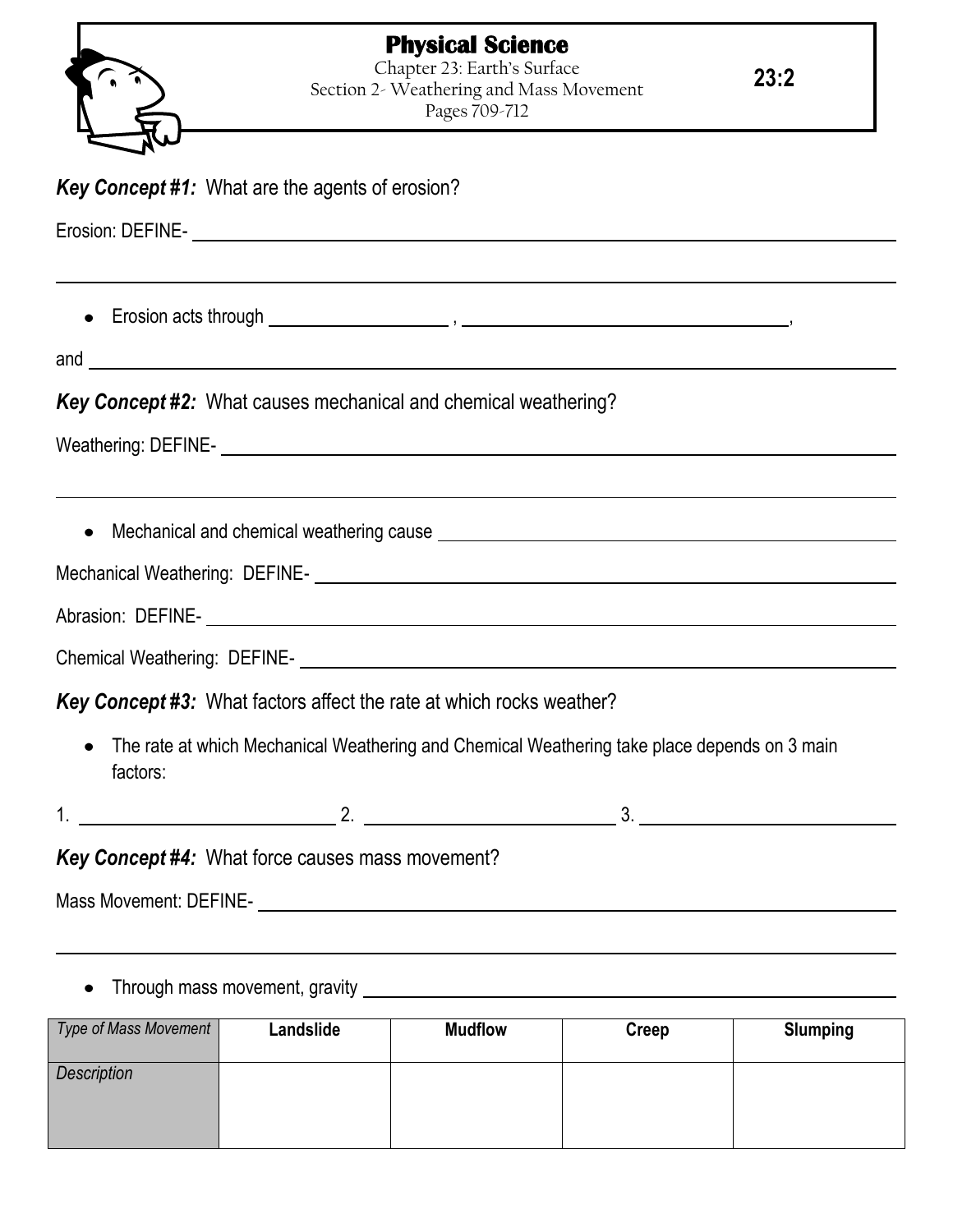

|  | <b>Key Concept #1:</b> What are the agents of erosion? |  |
|--|--------------------------------------------------------|--|
|  |                                                        |  |

Erosion: DEFINE-

Erosion acts through , ,

and

## *Key Concept #2:* What causes mechanical and chemical weathering?

Weathering: DEFINE-<br>
University of the contract of the contract of the contract of the contract of the contract of the contract of the contract of the contract of the contract of the contract of the contract of the contrac

Mechanical and chemical weathering cause

Mechanical Weathering: DEFINE-<br>
Mechanical Weathering: DEFINE-

Abrasion: DEFINE-

Chemical Weathering: DEFINE-

*Key Concept #3:* What factors affect the rate at which rocks weather?

- The rate at which Mechanical Weathering and Chemical Weathering take place depends on 3 main factors:
- $1.$  2.  $3.$

*Key Concept #4:* What force causes mass movement?

Mass Movement: DEFINE-

Through mass movement, gravity

| Type of Mass Movement | Landslide | <b>Mudflow</b> | Creep | <b>Slumping</b> |
|-----------------------|-----------|----------------|-------|-----------------|
| Description           |           |                |       |                 |
|                       |           |                |       |                 |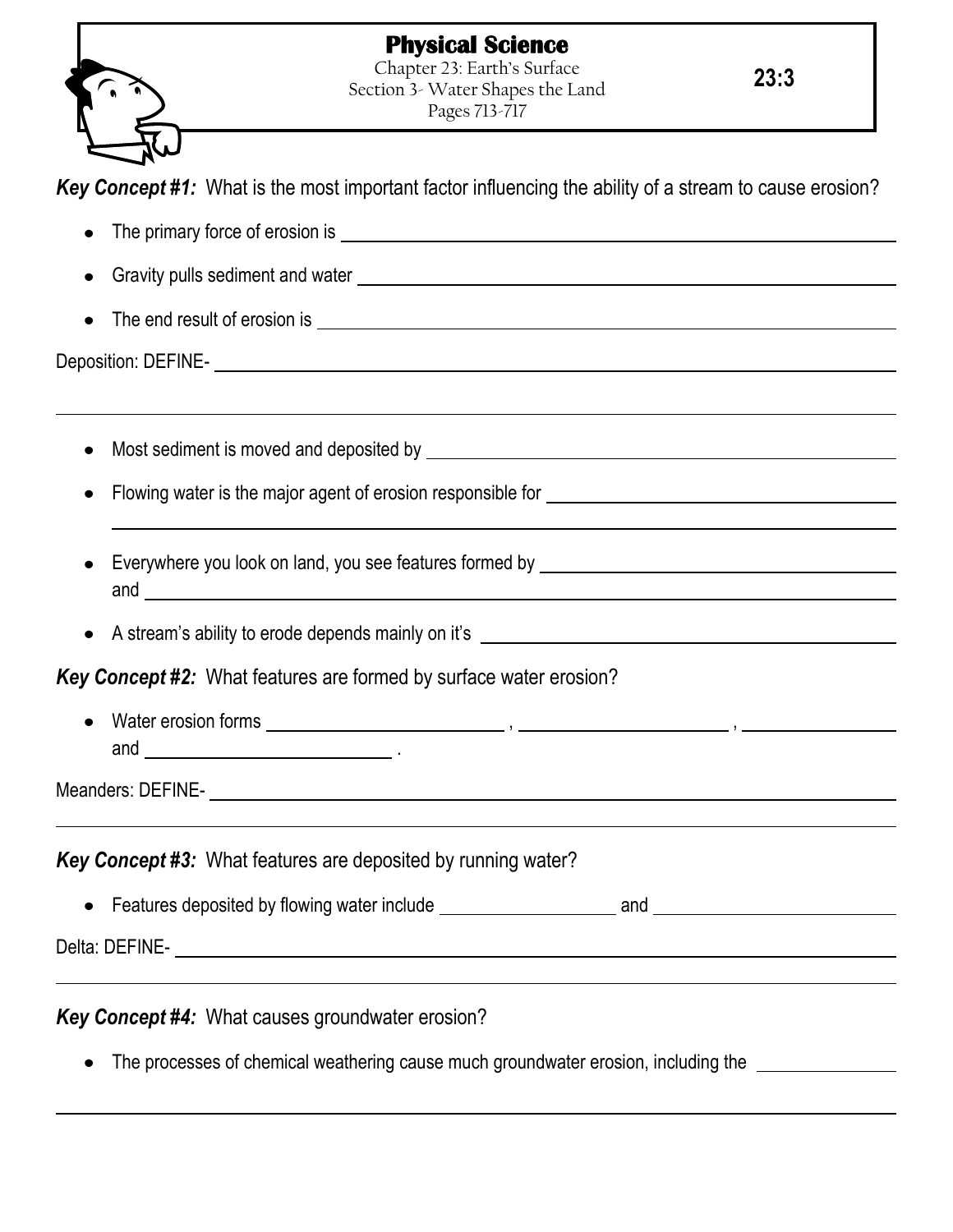## **Physical Science**



Chapter 23: Earth's Surface Section 3- Water Shapes the Land Pages 713-717

**23:3**

*Key Concept #1:* What is the most important factor influencing the ability of a stream to cause erosion?

- The primary force of erosion is Gravity pulls sediment and water The end result of erosion is Deposition: DEFINE-Most sediment is moved and deposited by **EXACUSE 2008** 2012 12:00:00 THE MOST SERIES AND THE MOST SERIES AND THE MOST SERIES AND THE MOST SERIES AND THE MOST SERIES AND THE MOST SERIES AND THE MOST SERIES AND THE MOST SERI Flowing water is the major agent of erosion responsible for Everywhere you look on land, you see features formed by \_\_\_\_\_\_\_\_\_\_\_\_\_\_\_\_\_\_\_\_\_\_\_\_ and <u>the contract of the contract of the contract of the contract of the contract of the contract of the contract of the contract of the contract of the contract of the contract of the contract of the contract of the contr</u> A stream's ability to erode depends mainly on it's *Key Concept #2:* What features are formed by surface water erosion? Water erosion forms , , and <u>\_\_\_\_\_\_\_\_\_\_\_\_\_\_\_\_\_\_\_\_\_\_\_\_\_</u> . Meanders: DEFINE-*Key Concept #3:* What features are deposited by running water? • Features deposited by flowing water include \_\_\_\_\_\_\_\_\_\_\_\_\_\_\_\_\_\_\_\_\_\_\_\_\_\_\_\_\_\_\_\_\_\_\_ Delta: DEFINE-*Key Concept #4:* What causes groundwater erosion?
	- The processes of chemical weathering cause much groundwater erosion, including the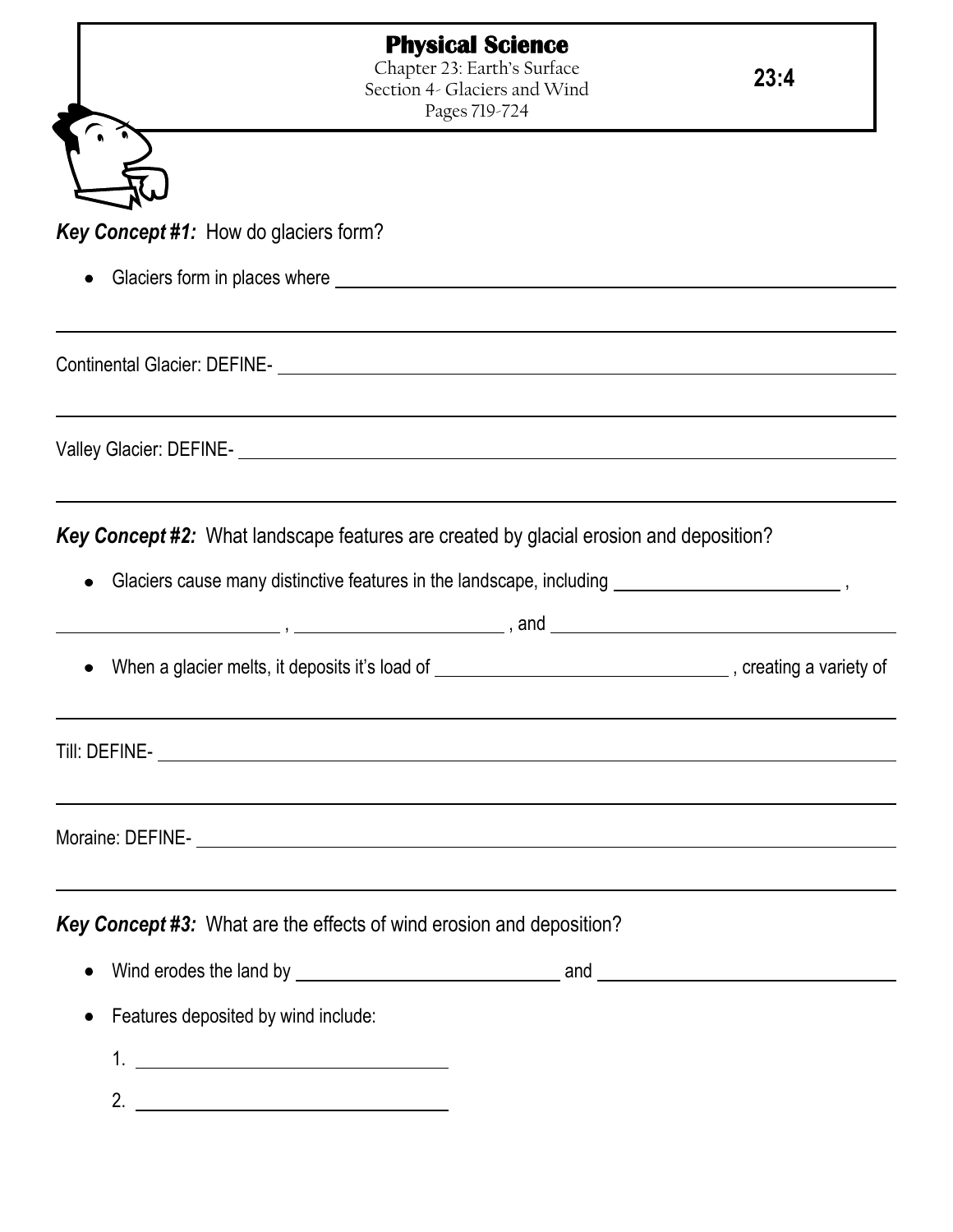*Key Concept #1:* How do glaciers form?

• Glaciers form in places where **contained a matter of the contact of the Claciers** form in places where **contact of the contact of the contact of the contact of the contact of the contact of the contact of the contact of** 

Continental Glacier: DEFINE-

Valley Glacier: DEFINE-

*Key Concept #2:* What landscape features are created by glacial erosion and deposition?

- Glaciers cause many distinctive features in the landscape, including **subsequently**  $\sim$  ,  $\sim$  ,  $\sim$  ,  $\sim$  ,  $\sim$  ,  $\sim$  ,  $\sim$  ,  $\sim$  ,  $\sim$  ,  $\sim$  ,  $\sim$  ,  $\sim$  ,  $\sim$  ,  $\sim$  ,  $\sim$  ,  $\sim$  ,  $\sim$  ,  $\sim$  ,  $\sim$  ,  $\sim$
- , , and
	- When a glacier melts, it deposits it's load of  $\blacksquare$ , creating a variety of

Till: DEFINE-

Moraine: DEFINE-

*Key Concept #3:* What are the effects of wind erosion and deposition?

- Wind erodes the land by and  $\bullet$
- Features deposited by wind include:
	- 1.
	- 2.